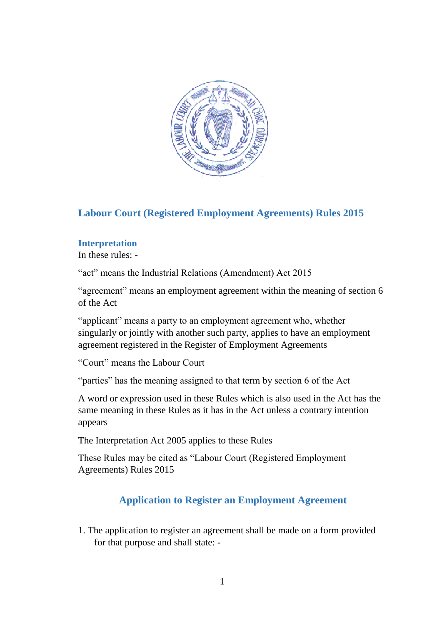

# **Labour Court (Registered Employment Agreements) Rules 2015**

#### **Interpretation**

In these rules: -

"act" means the Industrial Relations (Amendment) Act 2015

"agreement" means an employment agreement within the meaning of section 6 of the Act

"applicant" means a party to an employment agreement who, whether singularly or jointly with another such party, applies to have an employment agreement registered in the Register of Employment Agreements

"Court" means the Labour Court

"parties" has the meaning assigned to that term by section 6 of the Act

A word or expression used in these Rules which is also used in the Act has the same meaning in these Rules as it has in the Act unless a contrary intention appears

The Interpretation Act 2005 applies to these Rules

These Rules may be cited as "Labour Court (Registered Employment Agreements) Rules 2015

## **Application to Register an Employment Agreement**

1. The application to register an agreement shall be made on a form provided for that purpose and shall state: -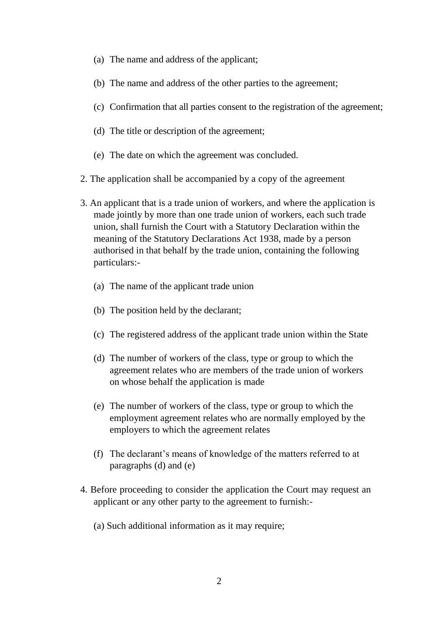- (a) The name and address of the applicant;
- (b) The name and address of the other parties to the agreement;
- (c) Confirmation that all parties consent to the registration of the agreement;
- (d) The title or description of the agreement;
- (e) The date on which the agreement was concluded.
- 2. The application shall be accompanied by a copy of the agreement
- 3. An applicant that is a trade union of workers, and where the application is made jointly by more than one trade union of workers, each such trade union, shall furnish the Court with a Statutory Declaration within the meaning of the Statutory Declarations Act 1938, made by a person authorised in that behalf by the trade union, containing the following particulars:-
	- (a) The name of the applicant trade union
	- (b) The position held by the declarant;
	- (c) The registered address of the applicant trade union within the State
	- (d) The number of workers of the class, type or group to which the agreement relates who are members of the trade union of workers on whose behalf the application is made
	- (e) The number of workers of the class, type or group to which the employment agreement relates who are normally employed by the employers to which the agreement relates
	- (f) The declarant's means of knowledge of the matters referred to at paragraphs (d) and (e)
- 4. Before proceeding to consider the application the Court may request an applicant or any other party to the agreement to furnish:-
	- (a) Such additional information as it may require;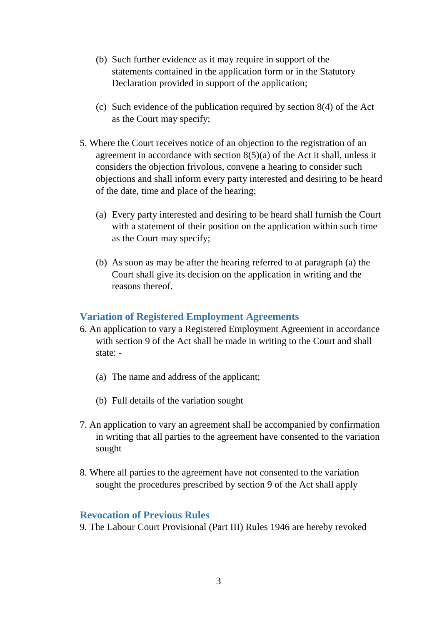- (b) Such further evidence as it may require in support of the statements contained in the application form or in the Statutory Declaration provided in support of the application;
- (c) Such evidence of the publication required by section 8(4) of the Act as the Court may specify;
- 5. Where the Court receives notice of an objection to the registration of an agreement in accordance with section  $8(5)(a)$  of the Act it shall, unless it considers the objection frivolous, convene a hearing to consider such objections and shall inform every party interested and desiring to be heard of the date, time and place of the hearing;
	- (a) Every party interested and desiring to be heard shall furnish the Court with a statement of their position on the application within such time as the Court may specify;
	- (b) As soon as may be after the hearing referred to at paragraph (a) the Court shall give its decision on the application in writing and the reasons thereof.

## **Variation of Registered Employment Agreements**

- 6. An application to vary a Registered Employment Agreement in accordance with section 9 of the Act shall be made in writing to the Court and shall state: -
	- (a) The name and address of the applicant;
	- (b) Full details of the variation sought
- 7. An application to vary an agreement shall be accompanied by confirmation in writing that all parties to the agreement have consented to the variation sought
- 8. Where all parties to the agreement have not consented to the variation sought the procedures prescribed by section 9 of the Act shall apply

#### **Revocation of Previous Rules**

9. The Labour Court Provisional (Part III) Rules 1946 are hereby revoked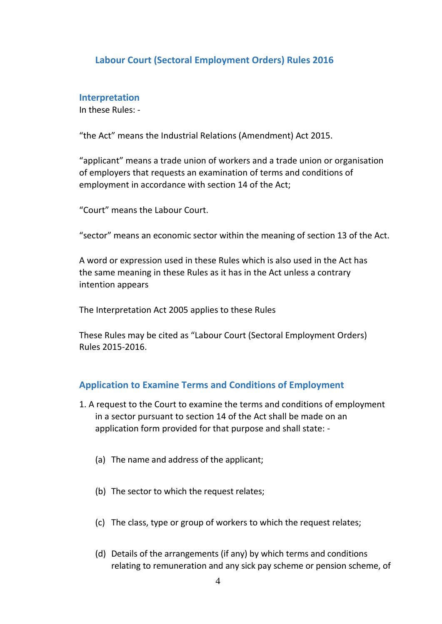## **Labour Court (Sectoral Employment Orders) Rules 2016**

#### **Interpretation**

In these Rules: -

"the Act" means the Industrial Relations (Amendment) Act 2015.

"applicant" means a trade union of workers and a trade union or organisation of employers that requests an examination of terms and conditions of employment in accordance with section 14 of the Act;

"Court" means the Labour Court.

"sector" means an economic sector within the meaning of section 13 of the Act.

A word or expression used in these Rules which is also used in the Act has the same meaning in these Rules as it has in the Act unless a contrary intention appears

The Interpretation Act 2005 applies to these Rules

These Rules may be cited as "Labour Court (Sectoral Employment Orders) Rules 2015-2016.

### **Application to Examine Terms and Conditions of Employment**

- 1. A request to the Court to examine the terms and conditions of employment in a sector pursuant to section 14 of the Act shall be made on an application form provided for that purpose and shall state: -
	- (a) The name and address of the applicant;
	- (b) The sector to which the request relates;
	- (c) The class, type or group of workers to which the request relates;
	- (d) Details of the arrangements (if any) by which terms and conditions relating to remuneration and any sick pay scheme or pension scheme, of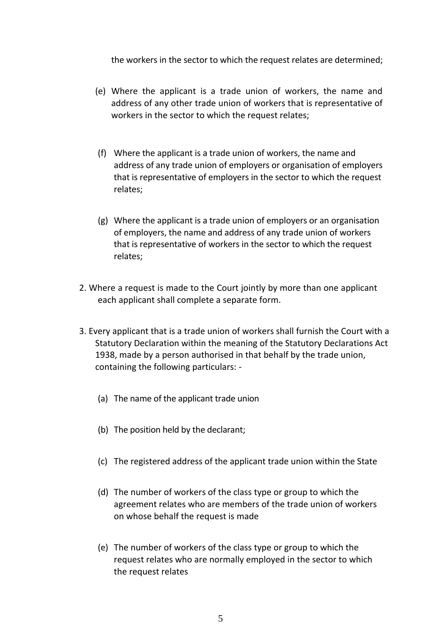the workers in the sector to which the request relates are determined;

- (e) Where the applicant is a trade union of workers, the name and address of any other trade union of workers that is representative of workers in the sector to which the request relates;
- (f) Where the applicant is a trade union of workers, the name and address of any trade union of employers or organisation of employers that is representative of employers in the sector to which the request relates;
- (g) Where the applicant is a trade union of employers or an organisation of employers, the name and address of any trade union of workers that is representative of workers in the sector to which the request relates;
- 2. Where a request is made to the Court jointly by more than one applicant each applicant shall complete a separate form.
- 3. Every applicant that is a trade union of workers shall furnish the Court with a Statutory Declaration within the meaning of the Statutory Declarations Act 1938, made by a person authorised in that behalf by the trade union, containing the following particulars: -
	- (a) The name of the applicant trade union
	- (b) The position held by the declarant;
	- (c) The registered address of the applicant trade union within the State
	- (d) The number of workers of the class type or group to which the agreement relates who are members of the trade union of workers on whose behalf the request is made
	- (e) The number of workers of the class type or group to which the request relates who are normally employed in the sector to which the request relates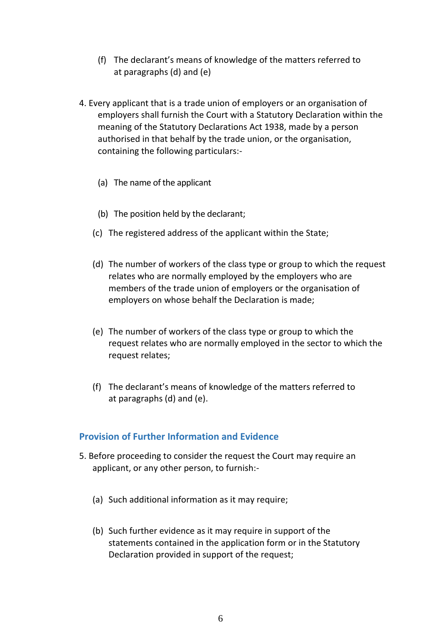- (f) The declarant's means of knowledge of the matters referred to at paragraphs (d) and (e)
- 4. Every applicant that is a trade union of employers or an organisation of employers shall furnish the Court with a Statutory Declaration within the meaning of the Statutory Declarations Act 1938, made by a person authorised in that behalf by the trade union, or the organisation, containing the following particulars:-
	- (a) The name of the applicant
	- (b) The position held by the declarant;
	- (c) The registered address of the applicant within the State;
	- (d) The number of workers of the class type or group to which the request relates who are normally employed by the employers who are members of the trade union of employers or the organisation of employers on whose behalf the Declaration is made;
	- (e) The number of workers of the class type or group to which the request relates who are normally employed in the sector to which the request relates;
	- (f) The declarant's means of knowledge of the matters referred to at paragraphs (d) and (e).

### **Provision of Further Information and Evidence**

- 5. Before proceeding to consider the request the Court may require an applicant, or any other person, to furnish:-
	- (a) Such additional information as it may require;
	- (b) Such further evidence as it may require in support of the statements contained in the application form or in the Statutory Declaration provided in support of the request;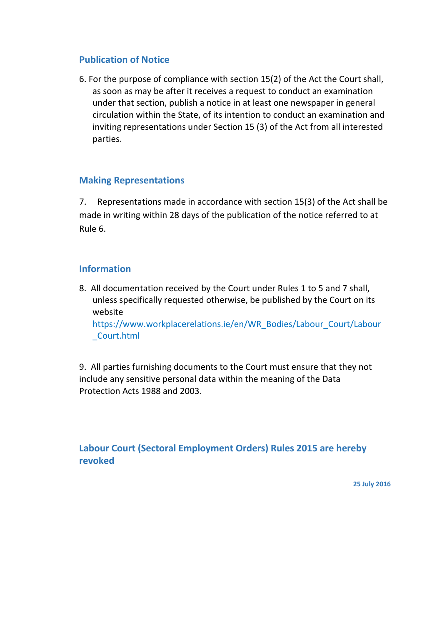## **Publication of Notice**

6. For the purpose of compliance with section 15(2) of the Act the Court shall, as soon as may be after it receives a request to conduct an examination under that section, publish a notice in at least one newspaper in general circulation within the State, of its intention to conduct an examination and inviting representations under Section 15 (3) of the Act from all interested parties.

## **Making Representations**

7. Representations made in accordance with section 15(3) of the Act shall be made in writing within 28 days of the publication of the notice referred to at Rule 6.

### **Information**

8. All documentation received by the Court under Rules 1 to 5 and 7 shall, unless specifically requested otherwise, be published by the Court on its website https://www.workplacerelations.ie/en/WR\_Bodies/Labour\_Court/Labour

\_Court.html

9. All parties furnishing documents to the Court must ensure that they not include any sensitive personal data within the meaning of the Data Protection Acts 1988 and 2003.

# **Labour Court (Sectoral Employment Orders) Rules 2015 are hereby revoked**

**25 July 2016**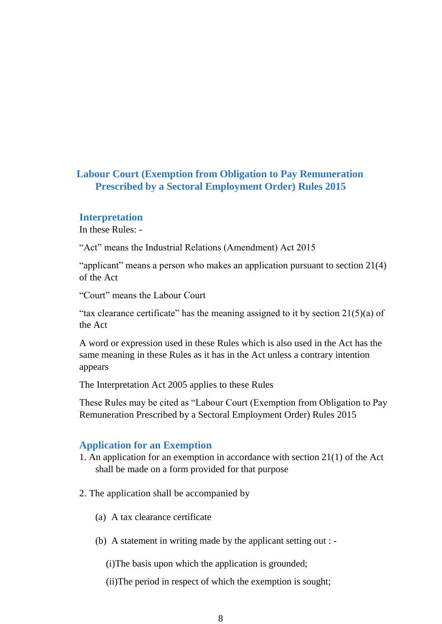# **Labour Court (Exemption from Obligation to Pay Remuneration Prescribed by a Sectoral Employment Order) Rules 2015**

#### **Interpretation**

In these Rules: -

"Act" means the Industrial Relations (Amendment) Act 2015

"applicant" means a person who makes an application pursuant to section 21(4) of the Act

"Court" means the Labour Court

"tax clearance certificate" has the meaning assigned to it by section  $21(5)(a)$  of the Act

A word or expression used in these Rules which is also used in the Act has the same meaning in these Rules as it has in the Act unless a contrary intention appears

The Interpretation Act 2005 applies to these Rules

These Rules may be cited as "Labour Court (Exemption from Obligation to Pay Remuneration Prescribed by a Sectoral Employment Order) Rules 2015

#### **Application for an Exemption**

- 1. An application for an exemption in accordance with section 21(1) of the Act shall be made on a form provided for that purpose
- 2. The application shall be accompanied by
	- (a) A tax clearance certificate
	- (b) A statement in writing made by the applicant setting out : -

(i)The basis upon which the application is grounded;

(ii)The period in respect of which the exemption is sought;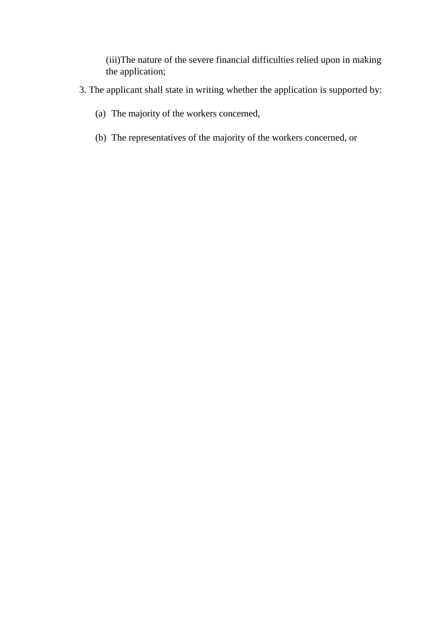(iii)The nature of the severe financial difficulties relied upon in making the application;

- 3. The applicant shall state in writing whether the application is supported by:
	- (a) The majority of the workers concerned,
	- (b) The representatives of the majority of the workers concerned, or